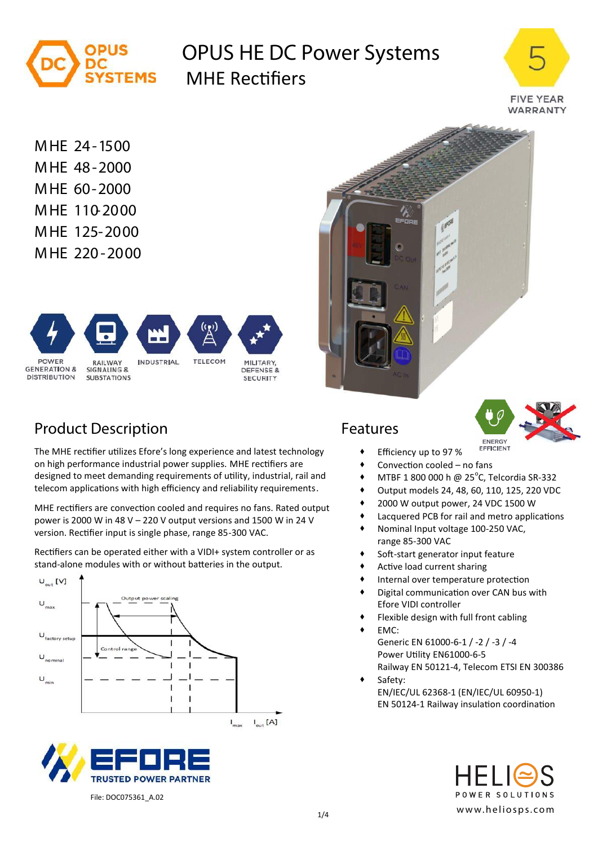

# **OPUS HE DC Power Systems** TEMS MHF Rectifiers



**MHE 24-1500 MHE 48-2000 MHE 60-2000 MHE 110-2000 MHE 125-2000 MHE 220-2000**



# **Product Description Features**

The MHE rectifier utilizes Efore's long experience and latest technology on high performance industrial power supplies. MHE rectifiers are designed to meet demanding requirements of utility, industrial, rail and telecom applications with high efficiency and reliability requirements.

MHE rectifiers are convection cooled and requires no fans. Rated output power is 2000 W in 48 V – 220 V output versions and 1500 W in 24 V version. Rectifier input is single phase, range 85-300 VAC.

Rectifiers can be operated either with a VIDI+ system controller or as stand-alone modules with or without batteries in the output.









- Efficiency up to 97 %
- Convection cooled no fans
- $\bullet$  MTBF 1 800 000 h @ 25°C, Telcordia SR-332
- Output models 24, 48, 60, 110, 125, 220 VDC
- 2000 W output power, 24 VDC 1500 W
- Lacquered PCB for rail and metro applications
- Nominal Input voltage 100-250 VAC, range 85-300 VAC
- **\*** Soft-start generator input feature
- Active load current sharing
- Internal over temperature protection
- Digital communication over CAN bus with Efore VIDI controller
- Flexible design with full front cabling
- EMC: Generic EN 61000-6-1 / -2 / -3 / -4 Power Utility EN61000-6-5 Railway EN 50121-4, Telecom ETSI EN 300386
- Safety: EN/IEC/UL 62368-1 (EN/IEC/UL 60950-1) EN 50124-1 Railway insulation coordination



File: DOC075361\_A.02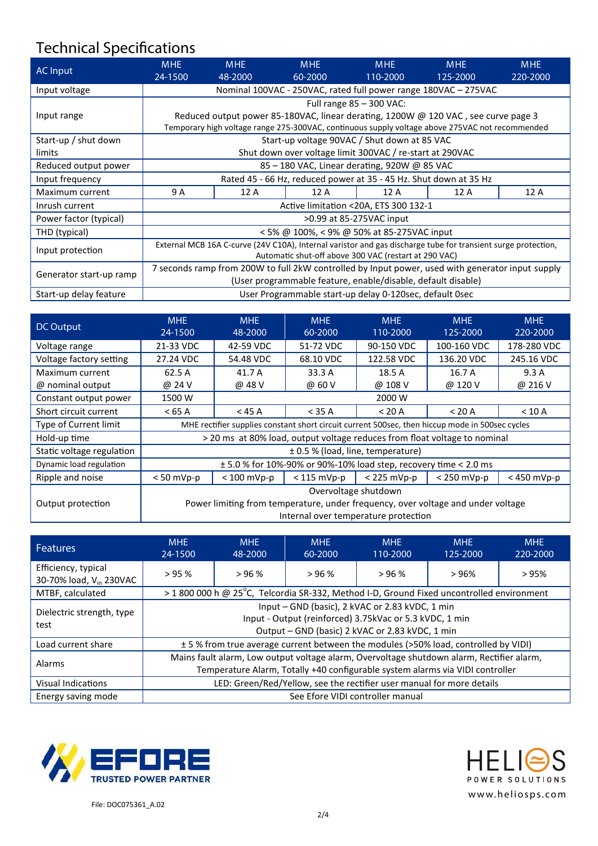# **Technical Specifications**

| AC Input                | <b>MHE</b><br>24-1500                                                                                                                                                                 | <b>MHE</b><br>48-2000 | <b>MHE</b><br>60-2000                        | <b>MHE</b><br>110-2000 | <b>MHE</b><br>125-2000 | <b>MHE</b><br>220-2000 |
|-------------------------|---------------------------------------------------------------------------------------------------------------------------------------------------------------------------------------|-----------------------|----------------------------------------------|------------------------|------------------------|------------------------|
| Input voltage           | Nominal 100VAC - 250VAC, rated full power range 180VAC - 275VAC                                                                                                                       |                       |                                              |                        |                        |                        |
|                         | Full range $85 - 300$ VAC:                                                                                                                                                            |                       |                                              |                        |                        |                        |
| Input range             | Reduced output power 85-180VAC, linear derating, 1200W @ 120 VAC, see curve page 3<br>Temporary high voltage range 275-300VAC, continuous supply voltage above 275VAC not recommended |                       |                                              |                        |                        |                        |
| Start-up / shut down    |                                                                                                                                                                                       |                       | Start-up voltage 90VAC / Shut down at 85 VAC |                        |                        |                        |
| limits                  | Shut down over voltage limit 300VAC / re-start at 290VAC                                                                                                                              |                       |                                              |                        |                        |                        |
| Reduced output power    | 85 – 180 VAC, Linear derating, 920W @ 85 VAC                                                                                                                                          |                       |                                              |                        |                        |                        |
| Input frequency         | Rated 45 - 66 Hz, reduced power at 35 - 45 Hz. Shut down at 35 Hz                                                                                                                     |                       |                                              |                        |                        |                        |
| Maximum current         | 9 A                                                                                                                                                                                   | 12 A                  | 12A                                          | 12 A                   | 12 A                   | 12 A                   |
| Inrush current          | Active limitation <20A, ETS 300 132-1                                                                                                                                                 |                       |                                              |                        |                        |                        |
| Power factor (typical)  | >0.99 at 85-275VAC input                                                                                                                                                              |                       |                                              |                        |                        |                        |
| THD (typical)           | < 5% @ 100%, < 9% @ 50% at 85-275VAC input                                                                                                                                            |                       |                                              |                        |                        |                        |
| Input protection        | External MCB 16A C-curve (24V C10A), Internal varistor and gas discharge tube for transient surge protection,<br>Automatic shut-off above 300 VAC (restart at 290 VAC)                |                       |                                              |                        |                        |                        |
| Generator start-up ramp | 7 seconds ramp from 200W to full 2kW controlled by Input power, used with generator input supply                                                                                      |                       |                                              |                        |                        |                        |
|                         | (User programmable feature, enable/disable, default disable)                                                                                                                          |                       |                                              |                        |                        |                        |
| Start-up delay feature  | User Programmable start-up delay 0-120sec, default 0sec                                                                                                                               |                       |                                              |                        |                        |                        |

| DC Output                 | <b>MHE</b><br>24-1500                                                                           | <b>MHE</b><br>48-2000 | <b>MHE</b><br>60-2000 | <b>MHE</b><br>110-2000 | <b>MHE</b><br>125-2000 | <b>MHE</b><br>220-2000 |
|---------------------------|-------------------------------------------------------------------------------------------------|-----------------------|-----------------------|------------------------|------------------------|------------------------|
| Voltage range             | 21-33 VDC                                                                                       | 42-59 VDC             | 51-72 VDC             | 90-150 VDC             | 100-160 VDC            | 178-280 VDC            |
| Voltage factory setting   | 27.24 VDC                                                                                       | 54.48 VDC             | 68.10 VDC             | 122.58 VDC             | 136.20 VDC             | 245.16 VDC             |
| Maximum current           | 62.5 A                                                                                          | 41.7 A                | 33.3 A                | 18.5 A                 | 16.7 A                 | 9.3A                   |
| @ nominal output          | @ 24 V                                                                                          | @ 48 V                | @ 60 V                | @ 108 V                | @ 120 V                | @ 216 V                |
| Constant output power     | 1500 W                                                                                          | 2000 W                |                       |                        |                        |                        |
| Short circuit current     | $<$ 65 A                                                                                        | $<$ 45 A              | $<$ 35 A              | < 20 A                 | < 20 A                 | $<$ 10 A               |
| Type of Current limit     | MHE rectifier supplies constant short circuit current 500sec, then hiccup mode in 500sec cycles |                       |                       |                        |                        |                        |
| Hold-up time              | > 20 ms at 80% load, output voltage reduces from float voltage to nominal                       |                       |                       |                        |                        |                        |
| Static voltage regulation | $\pm$ 0.5 % (load, line, temperature)                                                           |                       |                       |                        |                        |                        |
| Dynamic load regulation   | $\pm$ 5.0 % for 10%-90% or 90%-10% load step, recovery time < 2.0 ms                            |                       |                       |                        |                        |                        |
| Ripple and noise          | $< 50$ mVp-p                                                                                    | $< 100$ mVp-p         | $<$ 115 mVp-p         | $<$ 225 mVp-p          | $< 250$ mVp-p          | $<$ 450 mVp-p          |
|                           | Overvoltage shutdown                                                                            |                       |                       |                        |                        |                        |
| Output protection         | Power limiting from temperature, under frequency, over voltage and under voltage                |                       |                       |                        |                        |                        |
|                           | Internal over temperature protection                                                            |                       |                       |                        |                        |                        |

| <b>Features</b>                                            | <b>MHE</b><br>24-1500                                                                                                                                                      | <b>MHE</b><br>48-2000 | <b>MHE</b><br>60-2000 | <b>MHE</b><br>110-2000 | <b>MHE</b><br>125-2000 | <b>MHE</b><br>220-2000 |
|------------------------------------------------------------|----------------------------------------------------------------------------------------------------------------------------------------------------------------------------|-----------------------|-----------------------|------------------------|------------------------|------------------------|
| Efficiency, typical<br>30-70% load, V <sub>in</sub> 230VAC | > 95%                                                                                                                                                                      | > 96%                 | > 96%                 | > 96%                  | >96%                   | >95%                   |
| MTBF, calculated                                           | > 1 800 000 h @ 25°C, Telcordia SR-332, Method I-D, Ground Fixed uncontrolled environment                                                                                  |                       |                       |                        |                        |                        |
| Dielectric strength, type<br>test                          | Input - GND (basic), 2 kVAC or 2.83 kVDC, 1 min<br>Input - Output (reinforced) 3.75kVac or 5.3 kVDC, 1 min<br>Output - GND (basic) 2 kVAC or 2.83 kVDC, 1 min              |                       |                       |                        |                        |                        |
| Load current share                                         | ± 5 % from true average current between the modules (>50% load, controlled by VIDI)                                                                                        |                       |                       |                        |                        |                        |
| Alarms                                                     | Mains fault alarm, Low output voltage alarm, Overvoltage shutdown alarm, Rectifier alarm,<br>Temperature Alarm, Totally +40 configurable system alarms via VIDI controller |                       |                       |                        |                        |                        |
| <b>Visual Indications</b>                                  | LED: Green/Red/Yellow, see the rectifier user manual for more details                                                                                                      |                       |                       |                        |                        |                        |
| Energy saving mode                                         | See Efore VIDI controller manual                                                                                                                                           |                       |                       |                        |                        |                        |



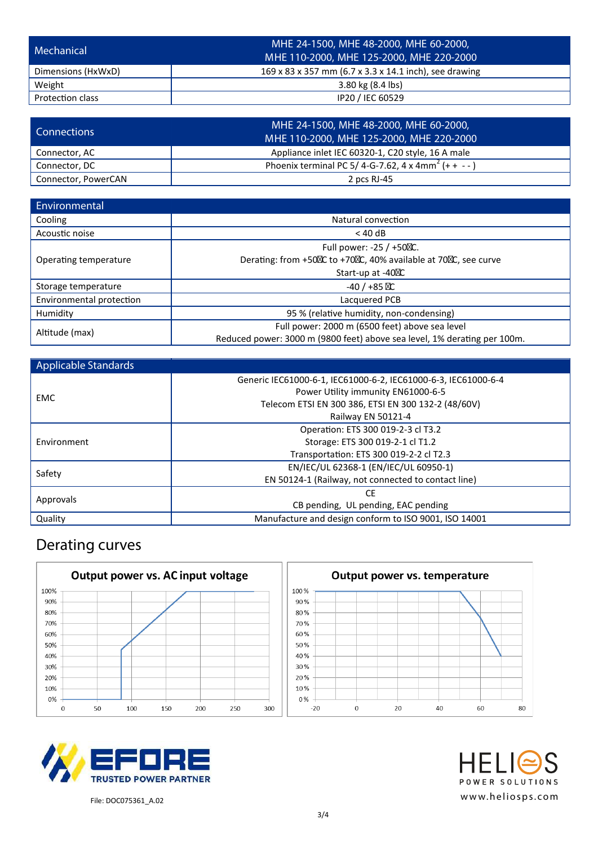| Mechanical              | MHE 24-1500, MHE 48-2000, MHE 60-2000,<br>MHE 110-2000, MHE 125-2000, MHE 220-2000 |
|-------------------------|------------------------------------------------------------------------------------|
| Dimensions (HxWxD)      | 169 x 83 x 357 mm (6.7 x 3.3 x 14.1 inch), see drawing                             |
| Weight                  | 3.80 kg (8.4 lbs)                                                                  |
| <b>Protection class</b> | IP20 / IEC 60529                                                                   |

| <b>Connections</b>  | MHE 24-1500, MHE 48-2000, MHE 60-2000,<br>MHE 110-2000, MHE 125-2000, MHE 220-2000 |
|---------------------|------------------------------------------------------------------------------------|
| Connector, AC       | Appliance inlet IEC 60320-1, C20 style, 16 A male                                  |
| Connector, DC       | Phoenix terminal PC 5/4-G-7.62, 4 x 4mm <sup>2</sup> (+ + --)                      |
| Connector, PowerCAN | 2 pcs RJ-45                                                                        |

| Environmental            |                                                                          |  |  |
|--------------------------|--------------------------------------------------------------------------|--|--|
| Cooling                  | Natural convection                                                       |  |  |
| Acoustic noise           | $<$ 40 dB                                                                |  |  |
|                          | Full power: -25 / +50 C.                                                 |  |  |
| Operating temperature    | Derating: from +50 C to +70 C, 40% available at 70 C, see curve          |  |  |
|                          | Start-up at -40 C                                                        |  |  |
| Storage temperature      | $-40/ +85$ C                                                             |  |  |
| Environmental protection | Lacquered PCB                                                            |  |  |
| Humidity                 | 95 % (relative humidity, non-condensing)                                 |  |  |
| Altitude (max)           | Full power: 2000 m (6500 feet) above sea level                           |  |  |
|                          | Reduced power: 3000 m (9800 feet) above sea level, 1% derating per 100m. |  |  |

| Applicable Standards |                                                                |  |  |  |  |
|----------------------|----------------------------------------------------------------|--|--|--|--|
|                      | Generic IEC61000-6-1, IEC61000-6-2, IEC61000-6-3, IEC61000-6-4 |  |  |  |  |
| EMC                  | Power Utility immunity EN61000-6-5                             |  |  |  |  |
|                      | Telecom ETSI EN 300 386, ETSI EN 300 132-2 (48/60V)            |  |  |  |  |
|                      | Railway EN 50121-4                                             |  |  |  |  |
|                      | Operation: ETS 300 019-2-3 cl T3.2                             |  |  |  |  |
| Environment          | Storage: ETS 300 019-2-1 cl T1.2                               |  |  |  |  |
|                      | Transportation: ETS 300 019-2-2 cl T2.3                        |  |  |  |  |
|                      | EN/IEC/UL 62368-1 (EN/IEC/UL 60950-1)                          |  |  |  |  |
| Safety               | EN 50124-1 (Railway, not connected to contact line)            |  |  |  |  |
|                      | СE                                                             |  |  |  |  |
| Approvals            | CB pending, UL pending, EAC pending                            |  |  |  |  |
| Quality              | Manufacture and design conform to ISO 9001, ISO 14001          |  |  |  |  |

### **Derating curves**

|      |    | Output power vs. AC input voltage |     |     |     |     |
|------|----|-----------------------------------|-----|-----|-----|-----|
| 100% |    |                                   |     |     |     |     |
| 90%  |    |                                   |     |     |     |     |
| 80%  |    |                                   |     |     |     |     |
| 70%  |    |                                   |     |     |     |     |
| 60%  |    |                                   |     |     |     |     |
| 50%  |    |                                   |     |     |     |     |
| 40%  |    |                                   |     |     |     |     |
| 30%  |    |                                   |     |     |     |     |
| 20%  |    |                                   |     |     |     |     |
| 10%  |    |                                   |     |     |     |     |
| 0%   |    |                                   |     |     |     |     |
| O    | 50 | 100                               | 150 | 200 | 250 | 300 |







File: DOC075361\_A.02